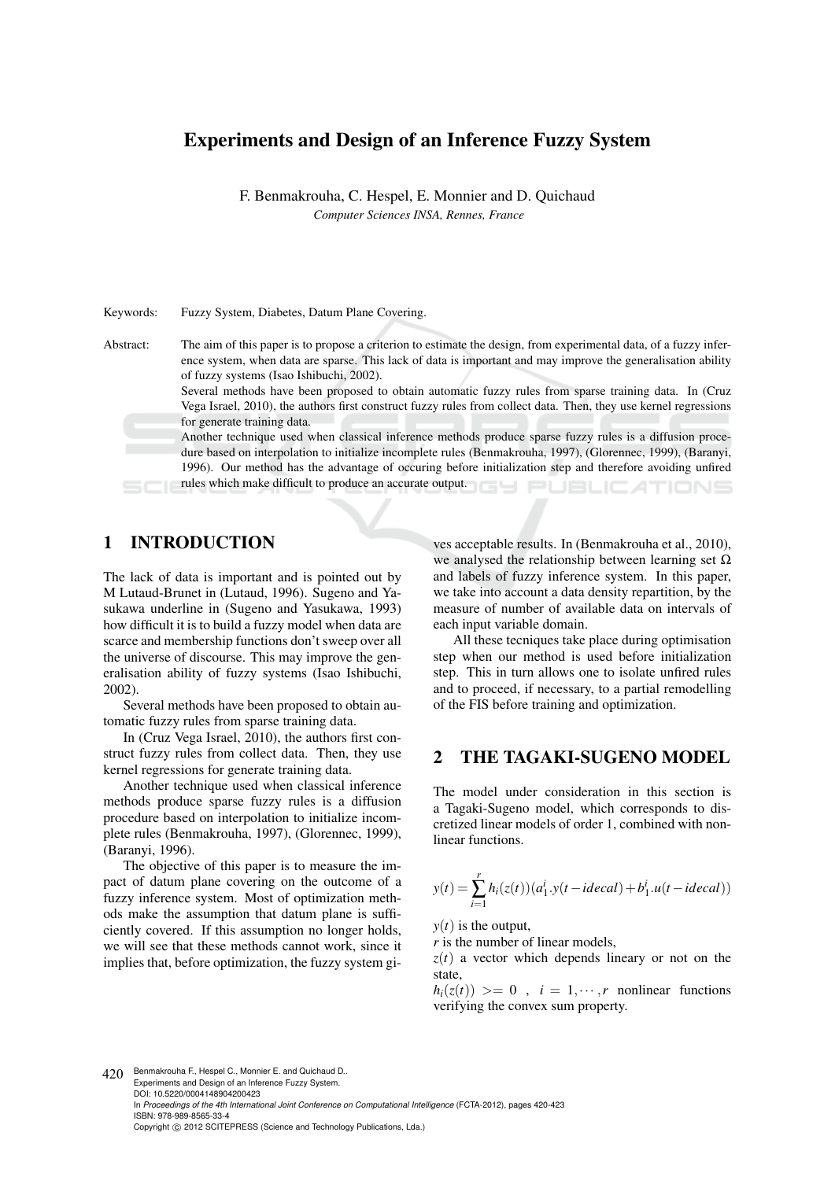# Experiments and Design of an Inference Fuzzy System

F. Benmakrouha, C. Hespel, E. Monnier and D. Quichaud *Computer Sciences INSA, Rennes, France*

Keywords: Fuzzy System, Diabetes, Datum Plane Covering. Abstract: The aim of this paper is to propose a criterion to estimate the design, from experimental data, of a fuzzy inference system, when data are sparse. This lack of data is important and may improve the generalisation ability of fuzzy systems (Isao Ishibuchi, 2002). Several methods have been proposed to obtain automatic fuzzy rules from sparse training data. In (Cruz Vega Israel, 2010), the authors first construct fuzzy rules from collect data. Then, they use kernel regressions for generate training data. Another technique used when classical inference methods produce sparse fuzzy rules is a diffusion procedure based on interpolation to initialize incomplete rules (Benmakrouha, 1997), (Glorennec, 1999), (Baranyi, 1996). Our method has the advantage of occuring before initialization step and therefore avoiding unfired rules which make difficult to produce an accurate output.

# 1 INTRODUCTION

The lack of data is important and is pointed out by M Lutaud-Brunet in (Lutaud, 1996). Sugeno and Yasukawa underline in (Sugeno and Yasukawa, 1993) how difficult it is to build a fuzzy model when data are scarce and membership functions don't sweep over all the universe of discourse. This may improve the generalisation ability of fuzzy systems (Isao Ishibuchi, 2002).

Several methods have been proposed to obtain automatic fuzzy rules from sparse training data.

In (Cruz Vega Israel, 2010), the authors first construct fuzzy rules from collect data. Then, they use kernel regressions for generate training data.

Another technique used when classical inference methods produce sparse fuzzy rules is a diffusion procedure based on interpolation to initialize incomplete rules (Benmakrouha, 1997), (Glorennec, 1999), (Baranyi, 1996).

The objective of this paper is to measure the impact of datum plane covering on the outcome of a fuzzy inference system. Most of optimization methods make the assumption that datum plane is sufficiently covered. If this assumption no longer holds, we will see that these methods cannot work, since it implies that, before optimization, the fuzzy system gi-

ves acceptable results. In (Benmakrouha et al., 2010), we analysed the relationship between learning set  $\Omega$ and labels of fuzzy inference system. In this paper, we take into account a data density repartition, by the measure of number of available data on intervals of each input variable domain.

All these tecniques take place during optimisation step when our method is used before initialization step. This in turn allows one to isolate unfired rules and to proceed, if necessary, to a partial remodelling of the FIS before training and optimization.

#### 2 THE TAGAKI-SUGENO MODEL

The model under consideration in this section is a Tagaki-Sugeno model, which corresponds to discretized linear models of order 1, combined with nonlinear functions.

$$
y(t) = \sum_{i=1}^{r} h_i(z(t))(a_1^i \cdot y(t - ideal) + b_1^i \cdot u(t - ideal))
$$

 $y(t)$  is the output,

*r* is the number of linear models,

 $z(t)$  a vector which depends lineary or not on the state,

 $h_i(z(t)) \geq 0$ ,  $i = 1, \dots, r$  nonlinear functions verifying the convex sum property.

420 Benmakrouha F., Hespel C., Monnier E. and Quichaud D. Experiments and Design of an Inference Fuzzy System. DOI: 10.5220/0004148904200423

In *Proceedings of the 4th International Joint Conference on Computational Intelligence* (FCTA-2012), pages 420-423 ISBN: 978-989-8565-33-4

Copyright (C) 2012 SCITEPRESS (Science and Technology Publications, Lda.)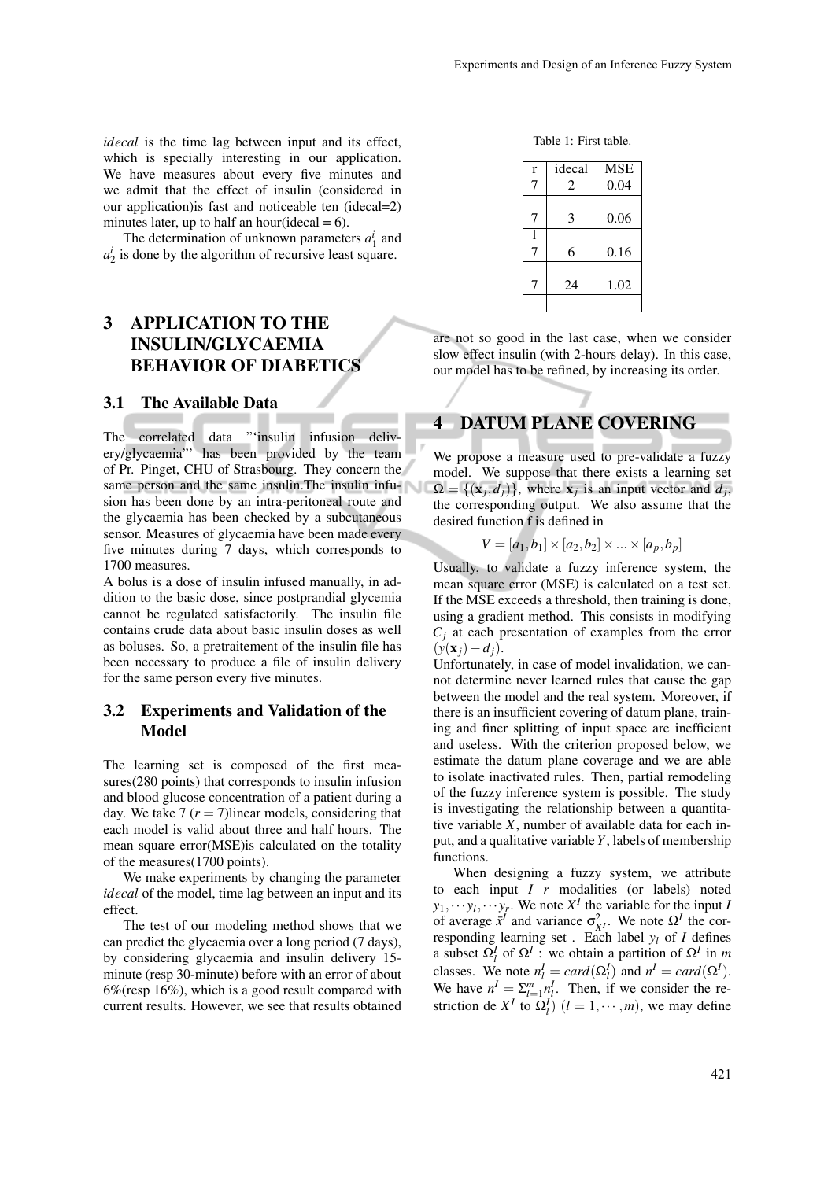*idecal* is the time lag between input and its effect, which is specially interesting in our application. We have measures about every five minutes and we admit that the effect of insulin (considered in our application)is fast and noticeable ten (idecal=2) minutes later, up to half an hour(idecal  $= 6$ ).

The determination of unknown parameters  $a_1^i$  and  $a_2^i$  is done by the algorithm of recursive least square.

## 3 APPLICATION TO THE INSULIN/GLYCAEMIA BEHAVIOR OF DIABETICS

#### 3.1 The Available Data

The correlated data "'insulin infusion delivery/glycaemia"' has been provided by the team of Pr. Pinget, CHU of Strasbourg. They concern the same person and the same insulin. The insulin infusion has been done by an intra-peritoneal route and the glycaemia has been checked by a subcutaneous sensor. Measures of glycaemia have been made every five minutes during 7 days, which corresponds to 1700 measures.

A bolus is a dose of insulin infused manually, in addition to the basic dose, since postprandial glycemia cannot be regulated satisfactorily. The insulin file contains crude data about basic insulin doses as well as boluses. So, a pretraitement of the insulin file has been necessary to produce a file of insulin delivery for the same person every five minutes.

#### 3.2 Experiments and Validation of the Model

The learning set is composed of the first measures(280 points) that corresponds to insulin infusion and blood glucose concentration of a patient during a day. We take  $7 (r = 7)$ linear models, considering that each model is valid about three and half hours. The mean square error(MSE)is calculated on the totality of the measures(1700 points).

We make experiments by changing the parameter *idecal* of the model, time lag between an input and its effect.

The test of our modeling method shows that we can predict the glycaemia over a long period (7 days), by considering glycaemia and insulin delivery 15 minute (resp 30-minute) before with an error of about 6%(resp 16%), which is a good result compared with current results. However, we see that results obtained

Table 1: First table.

| r | idecal | <b>MSE</b> |
|---|--------|------------|
|   | 2      | 0.04       |
|   |        |            |
|   | 3      | 0.06       |
|   |        |            |
|   | 6      | 0.16       |
|   |        |            |
|   | 24     | 1.02       |
|   |        |            |

are not so good in the last case, when we consider slow effect insulin (with 2-hours delay). In this case, our model has to be refined, by increasing its order.

### 4 DATUM PLANE COVERING

We propose a measure used to pre-validate a fuzzy model. We suppose that there exists a learning set  $\Omega = \{(\mathbf{x}_j, d_j)\}\$ , where  $\mathbf{x}_j$  is an input vector and  $d_j$ , the corresponding output. We also assume that the desired function f is defined in

$$
V = [a_1, b_1] \times [a_2, b_2] \times \ldots \times [a_p, b_p]
$$

Usually, to validate a fuzzy inference system, the mean square error (MSE) is calculated on a test set. If the MSE exceeds a threshold, then training is done, using a gradient method. This consists in modifying  $C_i$  at each presentation of examples from the error  $(y(\mathbf{x}_i)-d_i)$ .

Unfortunately, in case of model invalidation, we cannot determine never learned rules that cause the gap between the model and the real system. Moreover, if there is an insufficient covering of datum plane, training and finer splitting of input space are inefficient and useless. With the criterion proposed below, we estimate the datum plane coverage and we are able to isolate inactivated rules. Then, partial remodeling of the fuzzy inference system is possible. The study is investigating the relationship between a quantitative variable *X*, number of available data for each input, and a qualitative variable *Y*, labels of membership functions.

When designing a fuzzy system, we attribute to each input *I r* modalities (or labels) noted  $y_1, \dots, y_l, \dots, y_r$ . We note  $X^I$  the variable for the input *I* of average  $\bar{x}^I$  and variance  $\sigma_{\bar{X}^I}^2$ . We note  $\Omega^I$  the corresponding learning set . Each label  $y_l$  of *I* defines a subset  $\Omega_l^I$  of  $\Omega^I$ : we obtain a partition of  $\Omega^I$  in *m* classes. We note  $n_l^I = card(\Omega_l^I)$  and  $n^I = card(\Omega_l^I)$ . We have  $n^I = \sum_{l=1}^m n_l^I$ . Then, if we consider the restriction de  $X^I$  to  $\Omega^I_l$ )  $(l = 1, \dots, m)$ , we may define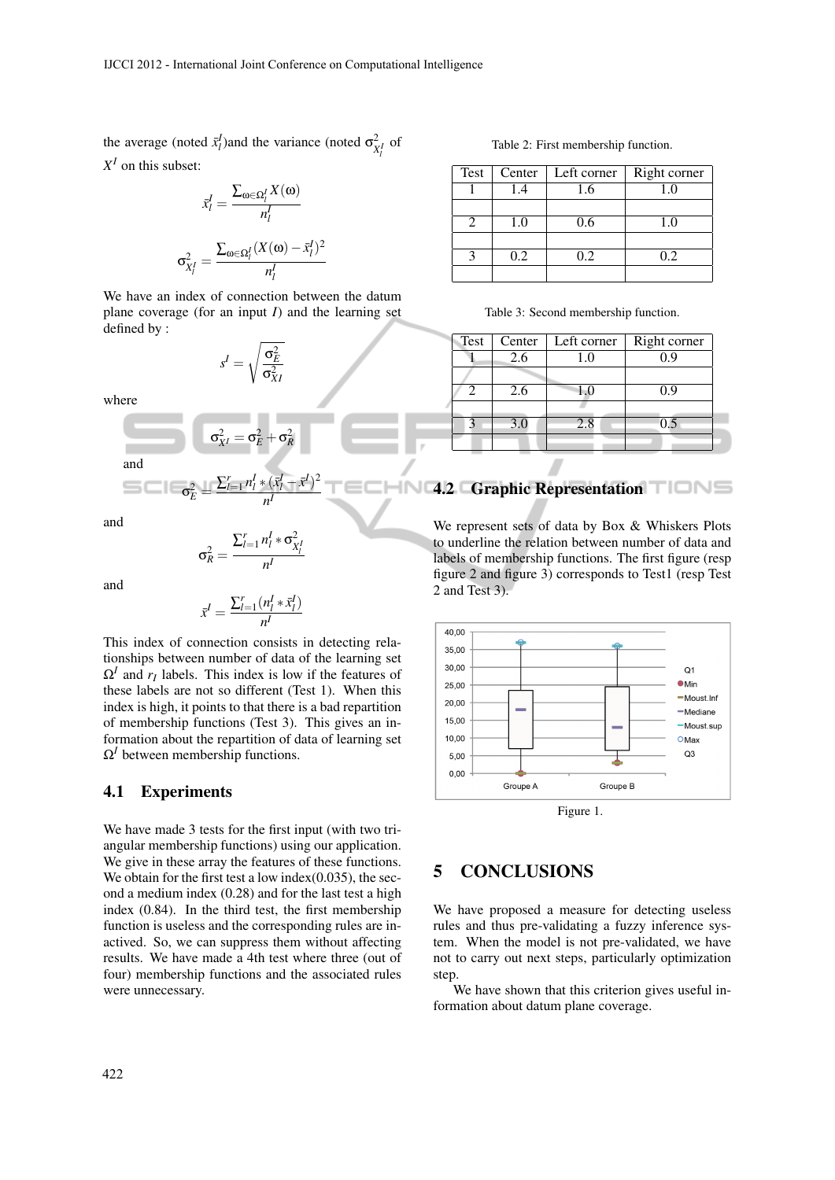the average (noted  $\bar{x}_l^I$ )and the variance (noted  $\sigma_{\bar{x}_l^I}^2$  of  $X<sup>I</sup>$  on this subset:

$$
\bar{x}_l^I = \frac{\sum_{\omega \in \Omega_l^I} X(\omega)}{n_l^I}
$$

$$
\sigma_{X_l^I}^2 = \frac{\sum_{\omega \in \Omega_l^I} (X(\omega) - \bar{x}_l^I)^2}{n_l^I}
$$

We have an index of connection between the datum plane coverage (for an input *I*) and the learning set defined by :

> $s^I =$  $\sqrt{\sigma_E^2}$  $\sigma^2_{XI}$

where

$$
\sigma_{X^I}^2 = \sigma_E^2 + \sigma_R^2
$$
 and

σ 2  $E^2 =$ ∑ *r l*=1 *n I l* ∗ (*x*¯ *I*  $\frac{l}{l}$  −  $\bar{x}$ *I* ) 2

and

$$
\sigma_R^2 = \frac{\sum_{l=1}^r n_l^I \ast \sigma_{X_l^I}^2}{n^I}
$$

*n I*

and

$$
\bar{x}^I = \frac{\sum_{l=1}^r (n_l^I * \bar{x}_l^I)}{n^I}
$$

This index of connection consists in detecting relationships between number of data of the learning set  $\Omega^I$  and  $r_I$  labels. This index is low if the features of these labels are not so different (Test 1). When this index is high, it points to that there is a bad repartition of membership functions (Test 3). This gives an information about the repartition of data of learning set  $\Omega^I$  between membership functions.

#### 4.1 Experiments

We have made 3 tests for the first input (with two triangular membership functions) using our application. We give in these array the features of these functions. We obtain for the first test a low index(0.035), the second a medium index (0.28) and for the last test a high index (0.84). In the third test, the first membership function is useless and the corresponding rules are inactived. So, we can suppress them without affecting results. We have made a 4th test where three (out of four) membership functions and the associated rules were unnecessary.

Table 2: First membership function.

| Test | Center | Left corner | Right corner |
|------|--------|-------------|--------------|
|      | 1.4    | 1.6         | 1.0          |
|      |        |             |              |
|      | 1.0    | 0.6         | 1.0          |
|      |        |             |              |
|      | 0.2    | 0.2         | 0.2          |
|      |        |             |              |

Table 3: Second membership function.

| Test | Center | Left corner | Right corner |
|------|--------|-------------|--------------|
|      | 2.6    | 1.0         | <u>J.Y</u>   |
|      |        |             |              |
|      | 2.6    |             | 0.9          |
|      |        |             |              |
| р    | 3.0    | 2.8         | 0.5          |
|      |        |             |              |

## 4.2 Graphic Representation TIME

We represent sets of data by Box & Whiskers Plots to underline the relation between number of data and labels of membership functions. The first figure (resp figure 2 and figure 3) corresponds to Test1 (resp Test 2 and Test 3).



Figure 1.

### 5 CONCLUSIONS

We have proposed a measure for detecting useless rules and thus pre-validating a fuzzy inference system. When the model is not pre-validated, we have not to carry out next steps, particularly optimization step.

We have shown that this criterion gives useful information about datum plane coverage.